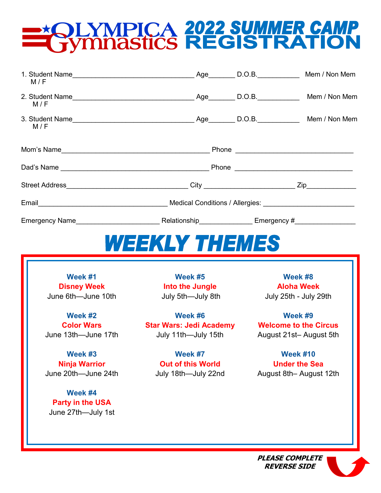# **QUYMPICA 2022 SUMMER CAMP<br>TYMNASTICS REGISTRATION**

| M/F | 1. Student Name 1. Student Name 1. Student Name 1. Student Name $\frac{1}{2}$ Mem / Non Mem (1. Student Name 1. Student Name $\frac{1}{2}$ Mem / Non Mem (1. Student Name 1. Student Name 1. Student Name 1. Student Name 1. Student |  |  |
|-----|--------------------------------------------------------------------------------------------------------------------------------------------------------------------------------------------------------------------------------------|--|--|
| M/F |                                                                                                                                                                                                                                      |  |  |
| M/F |                                                                                                                                                                                                                                      |  |  |
|     |                                                                                                                                                                                                                                      |  |  |
|     |                                                                                                                                                                                                                                      |  |  |
|     |                                                                                                                                                                                                                                      |  |  |
|     |                                                                                                                                                                                                                                      |  |  |
|     |                                                                                                                                                                                                                                      |  |  |
|     | <i>WEEKLY THEMES</i>                                                                                                                                                                                                                 |  |  |

**Week #1 Disney Week** June 6th—June 10th

**Week #2 Color Wars**  June 13th—June 17th

**Week #3 Ninja Warrior** June 20th—June 24th

**Week #4 Party in the USA** June 27th—July 1st

**Week #5 Into the Jungle**  July 5th—July 8th

**Week #6 Star Wars: Jedi Academy**  July 11th—July 15th

> **Week #7 Out of this World**  July 18th—July 22nd

**Week #8 Aloha Week** July 25th - July 29th

**Week #9 Welcome to the Circus**  August 21st– August 5th

**Week #10 Under the Sea** August 8th– August 12th

**PLEASE COMPLETE REVERSE SIDE**